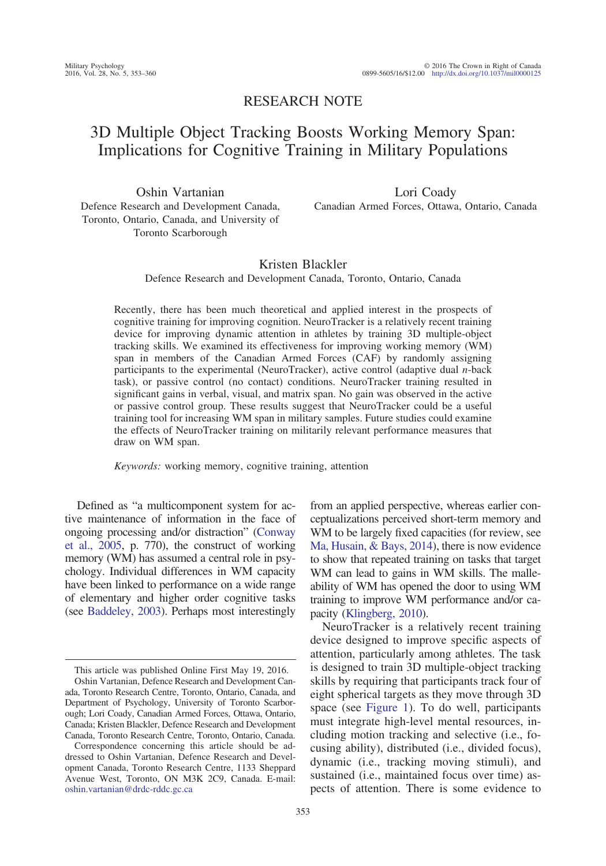## RESEARCH NOTE

# 3D Multiple Object Tracking Boosts Working Memory Span: Implications for Cognitive Training in Military Populations

Oshin Vartanian Defence Research and Development Canada, Toronto, Ontario, Canada, and University of Toronto Scarborough

Lori Coady Canadian Armed Forces, Ottawa, Ontario, Canada

## Kristen Blackler

Defence Research and Development Canada, Toronto, Ontario, Canada

Recently, there has been much theoretical and applied interest in the prospects of cognitive training for improving cognition. NeuroTracker is a relatively recent training device for improving dynamic attention in athletes by training 3D multiple-object tracking skills. We examined its effectiveness for improving working memory (WM) span in members of the Canadian Armed Forces (CAF) by randomly assigning participants to the experimental (NeuroTracker), active control (adaptive dual *n*-back task), or passive control (no contact) conditions. NeuroTracker training resulted in significant gains in verbal, visual, and matrix span. No gain was observed in the active or passive control group. These results suggest that NeuroTracker could be a useful training tool for increasing WM span in military samples. Future studies could examine the effects of NeuroTracker training on militarily relevant performance measures that draw on WM span.

*Keywords:* working memory, cognitive training, attention

Defined as "a multicomponent system for active maintenance of information in the face of ongoing processing and/or distraction" (Conway et al., 2005, p. 770), the construct of working memory (WM) has assumed a central role in psychology. Individual differences in WM capacity have been linked to performance on a wide range of elementary and higher order cognitive tasks (see Baddeley, 2003). Perhaps most interestingly

from an applied perspective, whereas earlier conceptualizations perceived short-term memory and WM to be largely fixed capacities (for review, see Ma, Husain, & Bays, 2014), there is now evidence to show that repeated training on tasks that target WM can lead to gains in WM skills. The malleability of WM has opened the door to using WM training to improve WM performance and/or capacity (Klingberg, 2010).

NeuroTracker is a relatively recent training device designed to improve specific aspects of attention, particularly among athletes. The task is designed to train 3D multiple-object tracking skills by requiring that participants track four of eight spherical targets as they move through 3D space (see Figure 1). To do well, participants must integrate high-level mental resources, including motion tracking and selective (i.e., focusing ability), distributed (i.e., divided focus), dynamic (i.e., tracking moving stimuli), and sustained (i.e., maintained focus over time) aspects of attention. There is some evidence to

This article was published Online First May 19, 2016.

Oshin Vartanian, Defence Research and Development Canada, Toronto Research Centre, Toronto, Ontario, Canada, and Department of Psychology, University of Toronto Scarborough; Lori Coady, Canadian Armed Forces, Ottawa, Ontario, Canada; Kristen Blackler, Defence Research and Development Canada, Toronto Research Centre, Toronto, Ontario, Canada.

Correspondence concerning this article should be addressed to Oshin Vartanian, Defence Research and Development Canada, Toronto Research Centre, 1133 Sheppard Avenue West, Toronto, ON M3K 2C9, Canada. E-mail: oshin.vartanian@drdc-rddc.gc.ca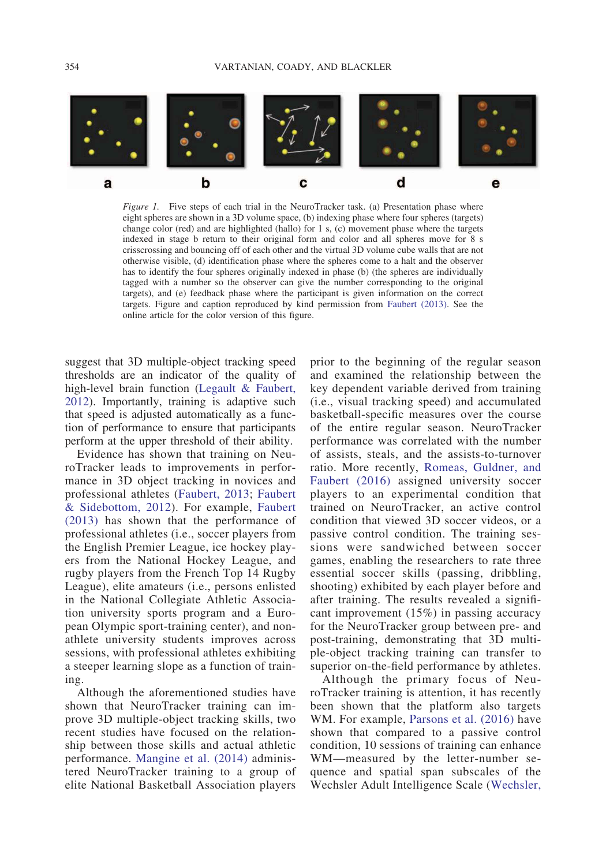

*Figure 1.* Five steps of each trial in the NeuroTracker task. (a) Presentation phase where eight spheres are shown in a 3D volume space, (b) indexing phase where four spheres (targets) change color (red) and are highlighted (hallo) for 1 s, (c) movement phase where the targets indexed in stage b return to their original form and color and all spheres move for 8 s crisscrossing and bouncing off of each other and the virtual 3D volume cube walls that are not otherwise visible, (d) identification phase where the spheres come to a halt and the observer has to identify the four spheres originally indexed in phase (b) (the spheres are individually tagged with a number so the observer can give the number corresponding to the original targets), and (e) feedback phase where the participant is given information on the correct targets. Figure and caption reproduced by kind permission from Faubert (2013). See the online article for the color version of this figure.

suggest that 3D multiple-object tracking speed thresholds are an indicator of the quality of high-level brain function (Legault & Faubert, 2012). Importantly, training is adaptive such that speed is adjusted automatically as a function of performance to ensure that participants perform at the upper threshold of their ability.

Evidence has shown that training on NeuroTracker leads to improvements in performance in 3D object tracking in novices and professional athletes (Faubert, 2013; Faubert & Sidebottom, 2012). For example, Faubert (2013) has shown that the performance of professional athletes (i.e., soccer players from the English Premier League, ice hockey players from the National Hockey League, and rugby players from the French Top 14 Rugby League), elite amateurs (i.e., persons enlisted in the National Collegiate Athletic Association university sports program and a European Olympic sport-training center), and nonathlete university students improves across sessions, with professional athletes exhibiting a steeper learning slope as a function of training.

Although the aforementioned studies have shown that NeuroTracker training can improve 3D multiple-object tracking skills, two recent studies have focused on the relationship between those skills and actual athletic performance. Mangine et al. (2014) administered NeuroTracker training to a group of elite National Basketball Association players

prior to the beginning of the regular season and examined the relationship between the key dependent variable derived from training (i.e., visual tracking speed) and accumulated basketball-specific measures over the course of the entire regular season. NeuroTracker performance was correlated with the number of assists, steals, and the assists-to-turnover ratio. More recently, Romeas, Guldner, and Faubert (2016) assigned university soccer players to an experimental condition that trained on NeuroTracker, an active control condition that viewed 3D soccer videos, or a passive control condition. The training sessions were sandwiched between soccer games, enabling the researchers to rate three essential soccer skills (passing, dribbling, shooting) exhibited by each player before and after training. The results revealed a significant improvement (15%) in passing accuracy for the NeuroTracker group between pre- and post-training, demonstrating that 3D multiple-object tracking training can transfer to superior on-the-field performance by athletes.

Although the primary focus of NeuroTracker training is attention, it has recently been shown that the platform also targets WM. For example, Parsons et al. (2016) have shown that compared to a passive control condition, 10 sessions of training can enhance WM—measured by the letter-number sequence and spatial span subscales of the Wechsler Adult Intelligence Scale (Wechsler,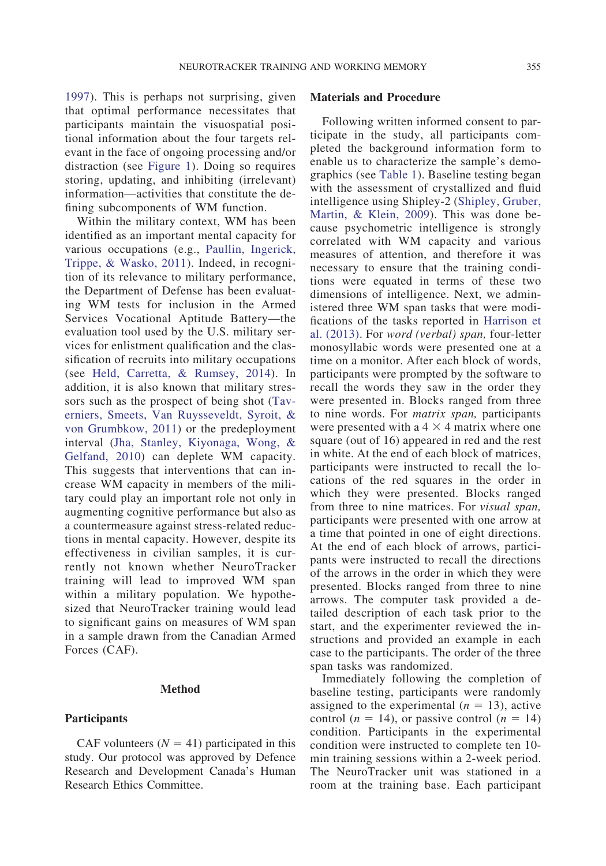1997). This is perhaps not surprising, given that optimal performance necessitates that participants maintain the visuospatial positional information about the four targets relevant in the face of ongoing processing and/or distraction (see Figure 1). Doing so requires storing, updating, and inhibiting (irrelevant) information—activities that constitute the defining subcomponents of WM function.

Within the military context, WM has been identified as an important mental capacity for various occupations (e.g., Paullin, Ingerick, Trippe, & Wasko, 2011). Indeed, in recognition of its relevance to military performance, the Department of Defense has been evaluating WM tests for inclusion in the Armed Services Vocational Aptitude Battery—the evaluation tool used by the U.S. military services for enlistment qualification and the classification of recruits into military occupations (see Held, Carretta, & Rumsey, 2014). In addition, it is also known that military stressors such as the prospect of being shot (Taverniers, Smeets, Van Ruysseveldt, Syroit, & von Grumbkow, 2011) or the predeployment interval (Jha, Stanley, Kiyonaga, Wong, & Gelfand, 2010) can deplete WM capacity. This suggests that interventions that can increase WM capacity in members of the military could play an important role not only in augmenting cognitive performance but also as a countermeasure against stress-related reductions in mental capacity. However, despite its effectiveness in civilian samples, it is currently not known whether NeuroTracker training will lead to improved WM span within a military population. We hypothesized that NeuroTracker training would lead to significant gains on measures of WM span in a sample drawn from the Canadian Armed Forces (CAF).

### **Method**

## **Participants**

CAF volunteers  $(N = 41)$  participated in this study. Our protocol was approved by Defence Research and Development Canada's Human Research Ethics Committee.

## **Materials and Procedure**

Following written informed consent to participate in the study, all participants completed the background information form to enable us to characterize the sample's demographics (see Table 1). Baseline testing began with the assessment of crystallized and fluid intelligence using Shipley-2 (Shipley, Gruber, Martin, & Klein, 2009). This was done because psychometric intelligence is strongly correlated with WM capacity and various measures of attention, and therefore it was necessary to ensure that the training conditions were equated in terms of these two dimensions of intelligence. Next, we administered three WM span tasks that were modifications of the tasks reported in Harrison et al. (2013). For *word (verbal) span,* four-letter monosyllabic words were presented one at a time on a monitor. After each block of words, participants were prompted by the software to recall the words they saw in the order they were presented in. Blocks ranged from three to nine words. For *matrix span,* participants were presented with a  $4 \times 4$  matrix where one square (out of 16) appeared in red and the rest in white. At the end of each block of matrices, participants were instructed to recall the locations of the red squares in the order in which they were presented. Blocks ranged from three to nine matrices. For *visual span,* participants were presented with one arrow at a time that pointed in one of eight directions. At the end of each block of arrows, participants were instructed to recall the directions of the arrows in the order in which they were presented. Blocks ranged from three to nine arrows. The computer task provided a detailed description of each task prior to the start, and the experimenter reviewed the instructions and provided an example in each case to the participants. The order of the three span tasks was randomized.

Immediately following the completion of baseline testing, participants were randomly assigned to the experimental  $(n = 13)$ , active control ( $n = 14$ ), or passive control ( $n = 14$ ) condition. Participants in the experimental condition were instructed to complete ten 10 min training sessions within a 2-week period. The NeuroTracker unit was stationed in a room at the training base. Each participant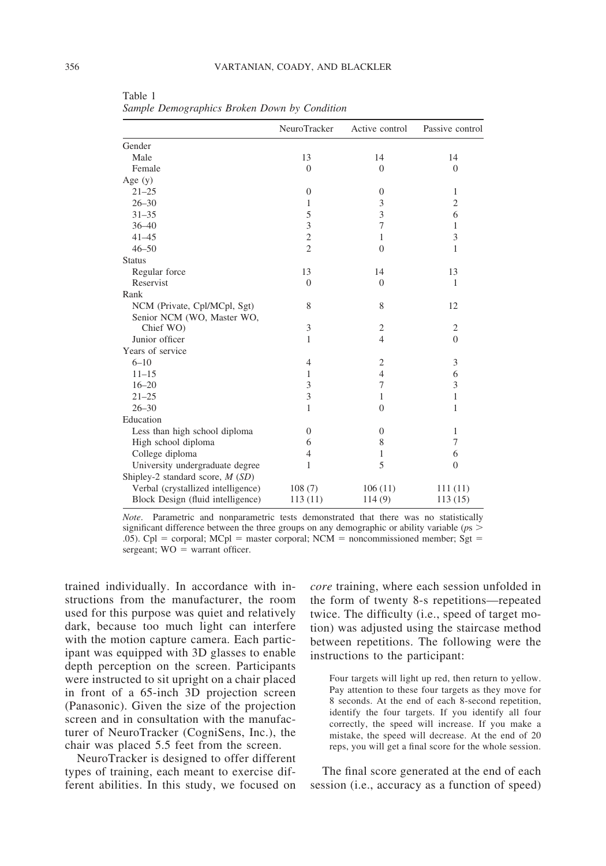|                                    | NeuroTracker     | Active control   | Passive control |
|------------------------------------|------------------|------------------|-----------------|
| Gender                             |                  |                  |                 |
| Male                               | 13               | 14               | 14              |
| Female                             | $\overline{0}$   | $\mathbf{0}$     | $\mathbf{0}$    |
| Age $(y)$                          |                  |                  |                 |
| $21 - 25$                          | $\boldsymbol{0}$ | $\boldsymbol{0}$ | $\mathbf{1}$    |
| $26 - 30$                          | 1                | 3                | $\overline{c}$  |
| $31 - 35$                          | 5                | 3                | 6               |
| $36 - 40$                          | 3                | 7                | 1               |
| $41 - 45$                          | $\overline{c}$   | 1                | 3               |
| $46 - 50$                          | $\overline{2}$   | $\mathbf{0}$     | 1               |
| <b>Status</b>                      |                  |                  |                 |
| Regular force                      | 13               | 14               | 13              |
| Reservist                          | $\overline{0}$   | $\overline{0}$   | 1               |
| Rank                               |                  |                  |                 |
| NCM (Private, Cpl/MCpl, Sgt)       | 8                | 8                | 12              |
| Senior NCM (WO, Master WO,         |                  |                  |                 |
| Chief WO)                          | 3                | $\overline{2}$   | $\overline{c}$  |
| Junior officer                     | 1                | 4                | $\overline{0}$  |
| Years of service                   |                  |                  |                 |
| $6 - 10$                           | $\overline{4}$   | $\overline{2}$   | 3               |
| $11 - 15$                          | 1                | $\overline{4}$   | 6               |
| $16 - 20$                          | 3                | 7                | 3               |
| $21 - 25$                          | 3                | 1                | 1               |
| $26 - 30$                          | 1                | $\Omega$         | 1               |
| Education                          |                  |                  |                 |
| Less than high school diploma      | $\theta$         | $\theta$         | 1               |
| High school diploma                | 6                | 8                | 7               |
| College diploma                    | 4                | 1                | 6               |
| University undergraduate degree    | 1                | 5                | $\Omega$        |
| Shipley-2 standard score, $M(SD)$  |                  |                  |                 |
| Verbal (crystallized intelligence) | 108(7)           | 106(11)          | 111(11)         |
| Block Design (fluid intelligence)  | 113(11)          | 114(9)           | 113(15)         |

Table 1 *Sample Demographics Broken Down by Condition*

*Note*. Parametric and nonparametric tests demonstrated that there was no statistically significant difference between the three groups on any demographic or ability variable (*p*s .05). Cpl = corporal; MCpl = master corporal; NCM = noncommissioned member; Sgt =  $s$ ergeant;  $WO = warrant$  officer.

trained individually. In accordance with instructions from the manufacturer, the room used for this purpose was quiet and relatively dark, because too much light can interfere with the motion capture camera. Each participant was equipped with 3D glasses to enable depth perception on the screen. Participants were instructed to sit upright on a chair placed in front of a 65-inch 3D projection screen (Panasonic). Given the size of the projection screen and in consultation with the manufacturer of NeuroTracker (CogniSens, Inc.), the chair was placed 5.5 feet from the screen.

NeuroTracker is designed to offer different types of training, each meant to exercise different abilities. In this study, we focused on

*core* training, where each session unfolded in the form of twenty 8-s repetitions—repeated twice. The difficulty (i.e., speed of target motion) was adjusted using the staircase method between repetitions. The following were the instructions to the participant:

Four targets will light up red, then return to yellow. Pay attention to these four targets as they move for 8 seconds. At the end of each 8-second repetition, identify the four targets. If you identify all four correctly, the speed will increase. If you make a mistake, the speed will decrease. At the end of 20 reps, you will get a final score for the whole session.

The final score generated at the end of each session (i.e., accuracy as a function of speed)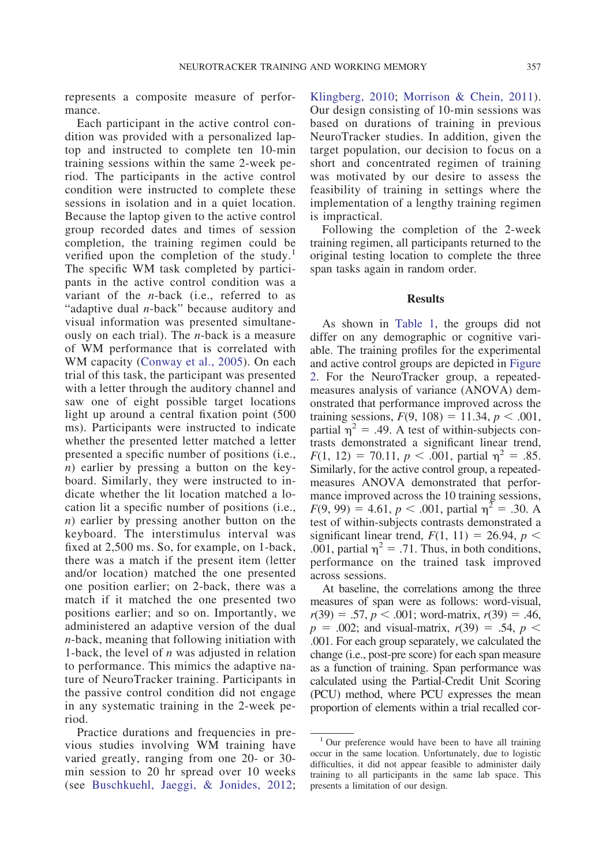represents a composite measure of performance.

Each participant in the active control condition was provided with a personalized laptop and instructed to complete ten 10-min training sessions within the same 2-week period. The participants in the active control condition were instructed to complete these sessions in isolation and in a quiet location. Because the laptop given to the active control group recorded dates and times of session completion, the training regimen could be verified upon the completion of the study.<sup>1</sup> The specific WM task completed by participants in the active control condition was a variant of the *n*-back (i.e., referred to as "adaptive dual *n*-back" because auditory and visual information was presented simultaneously on each trial). The *n*-back is a measure of WM performance that is correlated with WM capacity (Conway et al., 2005). On each trial of this task, the participant was presented with a letter through the auditory channel and saw one of eight possible target locations light up around a central fixation point (500 ms). Participants were instructed to indicate whether the presented letter matched a letter presented a specific number of positions (i.e., *n*) earlier by pressing a button on the keyboard. Similarly, they were instructed to indicate whether the lit location matched a location lit a specific number of positions (i.e., *n*) earlier by pressing another button on the keyboard. The interstimulus interval was fixed at 2,500 ms. So, for example, on 1-back, there was a match if the present item (letter and/or location) matched the one presented one position earlier; on 2-back, there was a match if it matched the one presented two positions earlier; and so on. Importantly, we administered an adaptive version of the dual *n*-back, meaning that following initiation with 1-back, the level of *n* was adjusted in relation to performance. This mimics the adaptive nature of NeuroTracker training. Participants in the passive control condition did not engage in any systematic training in the 2-week period.

Practice durations and frequencies in previous studies involving WM training have varied greatly, ranging from one 20- or 30 min session to 20 hr spread over 10 weeks (see Buschkuehl, Jaeggi, & Jonides, 2012;

Klingberg, 2010; Morrison & Chein, 2011). Our design consisting of 10-min sessions was based on durations of training in previous NeuroTracker studies. In addition, given the target population, our decision to focus on a short and concentrated regimen of training was motivated by our desire to assess the feasibility of training in settings where the implementation of a lengthy training regimen is impractical.

Following the completion of the 2-week training regimen, all participants returned to the original testing location to complete the three span tasks again in random order.

#### **Results**

As shown in Table 1, the groups did not differ on any demographic or cognitive variable. The training profiles for the experimental and active control groups are depicted in Figure 2. For the NeuroTracker group, a repeatedmeasures analysis of variance (ANOVA) demonstrated that performance improved across the training sessions,  $F(9, 108) = 11.34, p < .001$ , partial  $\eta^2 = .49$ . A test of within-subjects contrasts demonstrated a significant linear trend,  $F(1, 12) = 70.11, p < .001$ , partial  $\eta^2 = .85$ . Similarly, for the active control group, a repeatedmeasures ANOVA demonstrated that performance improved across the 10 training sessions,  $F(9, 99) = 4.61, p < .001$ , partial  $\eta^2 = .30$ . A test of within-subjects contrasts demonstrated a significant linear trend,  $F(1, 11) = 26.94$ ,  $p <$ .001, partial  $\eta^2 = .71$ . Thus, in both conditions, performance on the trained task improved across sessions.

At baseline, the correlations among the three measures of span were as follows: word-visual,  $r(39) = .57, p < .001$ ; word-matrix,  $r(39) = .46$ ,  $p = .002$ ; and visual-matrix,  $r(39) = .54$ ,  $p <$ .001. For each group separately, we calculated the change (i.e., post-pre score) for each span measure as a function of training. Span performance was calculated using the Partial-Credit Unit Scoring (PCU) method, where PCU expresses the mean proportion of elements within a trial recalled cor-

<sup>&</sup>lt;sup>1</sup> Our preference would have been to have all training occur in the same location. Unfortunately, due to logistic difficulties, it did not appear feasible to administer daily training to all participants in the same lab space. This presents a limitation of our design.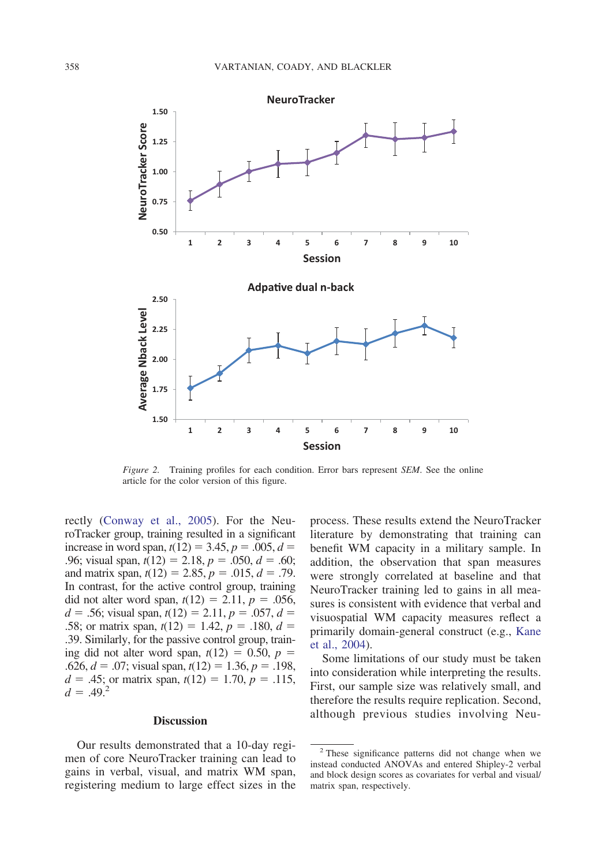

*Figure 2.* Training profiles for each condition. Error bars represent *SEM*. See the online article for the color version of this figure.

rectly (Conway et al., 2005). For the NeuroTracker group, training resulted in a significant increase in word span,  $t(12) = 3.45$ ,  $p = .005$ ,  $d =$ .96; visual span,  $t(12) = 2.18$ ,  $p = .050$ ,  $d = .60$ ; and matrix span,  $t(12) = 2.85$ ,  $p = .015$ ,  $d = .79$ . In contrast, for the active control group, training did not alter word span,  $t(12) = 2.11$ ,  $p = .056$ ,  $d = 0.56$ ; visual span,  $t(12) = 2.11$ ,  $p = 0.057$ ,  $d =$ .58; or matrix span,  $t(12) = 1.42$ ,  $p = .180$ ,  $d =$ .39. Similarly, for the passive control group, training did not alter word span,  $t(12) = 0.50$ ,  $p =$ .626,  $d = 0.07$ ; visual span,  $t(12) = 1.36$ ,  $p = 0.198$ ,  $d = 0.45$ ; or matrix span,  $t(12) = 1.70$ ,  $p = 0.115$ ,  $d = .49.^2$ 

## **Discussion**

Our results demonstrated that a 10-day regimen of core NeuroTracker training can lead to gains in verbal, visual, and matrix WM span, registering medium to large effect sizes in the process. These results extend the NeuroTracker literature by demonstrating that training can benefit WM capacity in a military sample. In addition, the observation that span measures were strongly correlated at baseline and that NeuroTracker training led to gains in all measures is consistent with evidence that verbal and visuospatial WM capacity measures reflect a primarily domain-general construct (e.g., Kane et al., 2004).

Some limitations of our study must be taken into consideration while interpreting the results. First, our sample size was relatively small, and therefore the results require replication. Second, although previous studies involving Neu-

<sup>2</sup> These significance patterns did not change when we instead conducted ANOVAs and entered Shipley-2 verbal and block design scores as covariates for verbal and visual/ matrix span, respectively.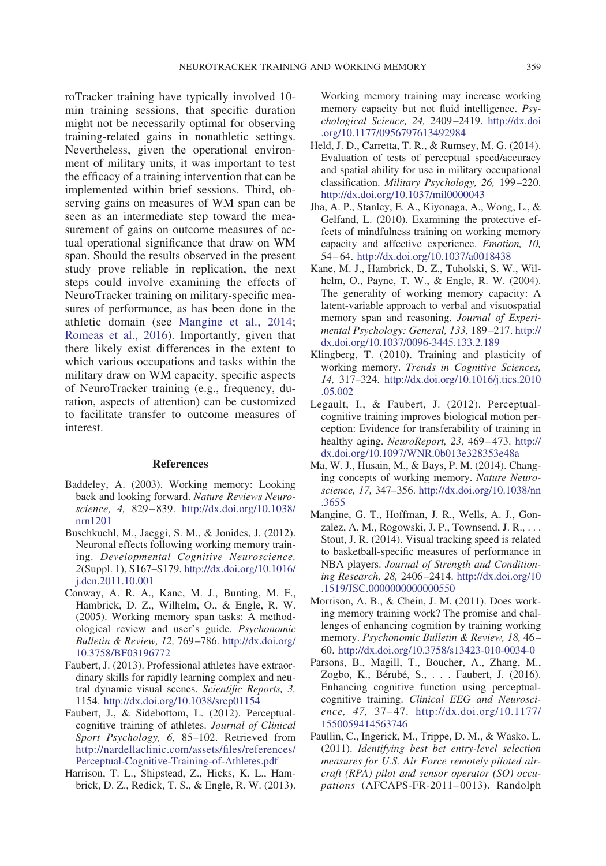roTracker training have typically involved 10 min training sessions, that specific duration might not be necessarily optimal for observing training-related gains in nonathletic settings. Nevertheless, given the operational environment of military units, it was important to test the efficacy of a training intervention that can be implemented within brief sessions. Third, observing gains on measures of WM span can be seen as an intermediate step toward the measurement of gains on outcome measures of actual operational significance that draw on WM span. Should the results observed in the present study prove reliable in replication, the next steps could involve examining the effects of NeuroTracker training on military-specific measures of performance, as has been done in the athletic domain (see Mangine et al., 2014; Romeas et al., 2016). Importantly, given that there likely exist differences in the extent to which various occupations and tasks within the military draw on WM capacity, specific aspects of NeuroTracker training (e.g., frequency, duration, aspects of attention) can be customized to facilitate transfer to outcome measures of interest.

#### **References**

- Baddeley, A. (2003). Working memory: Looking back and looking forward. *Nature Reviews Neuroscience, 4,* 829–839. http://dx.doi.org/10.1038/ nrn1201
- Buschkuehl, M., Jaeggi, S. M., & Jonides, J. (2012). Neuronal effects following working memory training. *Developmental Cognitive Neuroscience, 2*(Suppl. 1), S167–S179. http://dx.doi.org/10.1016/ j.dcn.2011.10.001
- Conway, A. R. A., Kane, M. J., Bunting, M. F., Hambrick, D. Z., Wilhelm, O., & Engle, R. W. (2005). Working memory span tasks: A methodological review and user's guide. *Psychonomic Bulletin & Review, 12,* 769–786. http://dx.doi.org/ 10.3758/BF03196772
- Faubert, J. (2013). Professional athletes have extraordinary skills for rapidly learning complex and neutral dynamic visual scenes. *Scientific Reports, 3,* 1154. http://dx.doi.org/10.1038/srep01154
- Faubert, J., & Sidebottom, L. (2012). Perceptualcognitive training of athletes. *Journal of Clinical Sport Psychology, 6,* 85–102. Retrieved from http://nardellaclinic.com/assets/files/references/ Perceptual-Cognitive-Training-of-Athletes.pdf
- Harrison, T. L., Shipstead, Z., Hicks, K. L., Hambrick, D. Z., Redick, T. S., & Engle, R. W. (2013).

Working memory training may increase working memory capacity but not fluid intelligence. *Psychological Science, 24,* 2409–2419. http://dx.doi .org/10.1177/0956797613492984

- Held, J. D., Carretta, T. R., & Rumsey, M. G. (2014). Evaluation of tests of perceptual speed/accuracy and spatial ability for use in military occupational classification. *Military Psychology, 26,* 199–220. http://dx.doi.org/10.1037/mil0000043
- Jha, A. P., Stanley, E. A., Kiyonaga, A., Wong, L., & Gelfand, L. (2010). Examining the protective effects of mindfulness training on working memory capacity and affective experience. *Emotion, 10,* 54–64. http://dx.doi.org/10.1037/a0018438
- Kane, M. J., Hambrick, D. Z., Tuholski, S. W., Wilhelm, O., Payne, T. W., & Engle, R. W. (2004). The generality of working memory capacity: A latent-variable approach to verbal and visuospatial memory span and reasoning. *Journal of Experimental Psychology: General, 133,* 189–217. http:// dx.doi.org/10.1037/0096-3445.133.2.189
- Klingberg, T. (2010). Training and plasticity of working memory. *Trends in Cognitive Sciences, 14,* 317–324. http://dx.doi.org/10.1016/j.tics.2010 .05.002
- Legault, I., & Faubert, J. (2012). Perceptualcognitive training improves biological motion perception: Evidence for transferability of training in healthy aging. *NeuroReport, 23,* 469–473. http:// dx.doi.org/10.1097/WNR.0b013e328353e48a
- Ma, W. J., Husain, M., & Bays, P. M. (2014). Changing concepts of working memory. *Nature Neuroscience, 17,* 347–356. http://dx.doi.org/10.1038/nn .3655
- Mangine, G. T., Hoffman, J. R., Wells, A. J., Gonzalez, A. M., Rogowski, J. P., Townsend, J. R.,... Stout, J. R. (2014). Visual tracking speed is related to basketball-specific measures of performance in NBA players. *Journal of Strength and Conditioning Research, 28,* 2406–2414. http://dx.doi.org/10 .1519/JSC.0000000000000550
- Morrison, A. B., & Chein, J. M. (2011). Does working memory training work? The promise and challenges of enhancing cognition by training working memory. *Psychonomic Bulletin & Review, 18,* 46– 60. http://dx.doi.org/10.3758/s13423-010-0034-0
- Parsons, B., Magill, T., Boucher, A., Zhang, M., Zogbo, K., Bérubé, S.,... Faubert, J. (2016). Enhancing cognitive function using perceptualcognitive training. *Clinical EEG and Neuroscience, 47,* 37–47. http://dx.doi.org/10.1177/ 1550059414563746
- Paullin, C., Ingerick, M., Trippe, D. M., & Wasko, L. (2011). *Identifying best bet entry-level selection measures for U.S. Air Force remotely piloted aircraft (RPA) pilot and sensor operator (SO) occupations* (AFCAPS-FR-2011–0013). Randolph